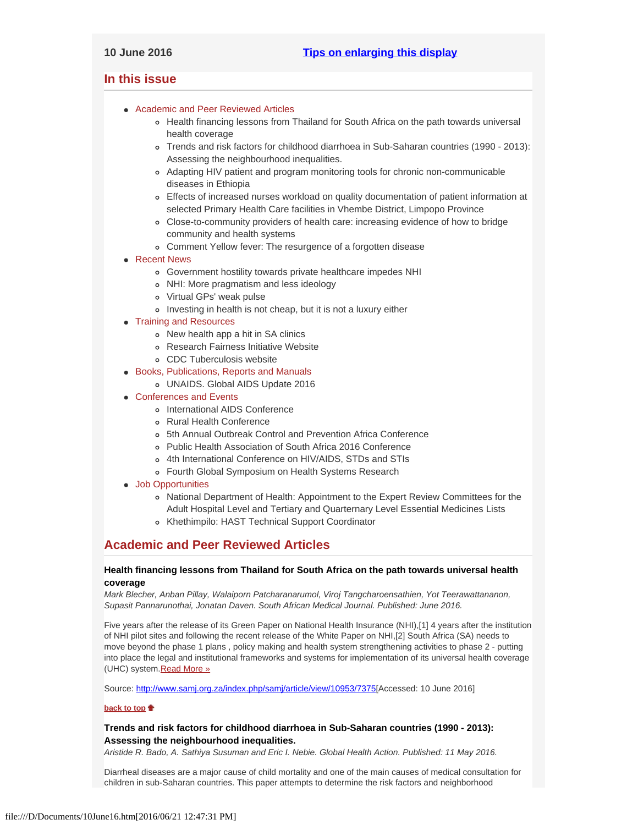# <span id="page-0-4"></span><span id="page-0-3"></span>**In this issue**

- [Academic and Peer Reviewed Articles](#page-0-0)
	- o [Health financing lessons from Thailand for South Africa on the path towards universal](#page-0-1) [health coverage](#page-0-1)
	- [Trends and risk factors for childhood diarrhoea in Sub-Saharan countries \(1990 2013\):](#page-0-2) [Assessing the neighbourhood inequalities.](#page-0-2)
	- [Adapting HIV patient and program monitoring tools for chronic non-communicable](#page-1-0) [diseases in Ethiopia](#page-1-0)
	- [Effects of increased nurses workload on quality documentation of patient information at](#page-1-0) [selected Primary Health Care facilities in Vhembe District, Limpopo Province](#page-1-0)
	- [Close-to-community providers of health care: increasing evidence of how to bridge](#page-1-0) [community and health systems](#page-1-0)
	- [Comment Yellow fever: The resurgence of a forgotten disease](#page-1-1)
- [Recent News](#page-1-2)
	- [Government hostility towards private healthcare impedes NHI](#page-2-0)
	- [NHI: More pragmatism and less ideology](#page-2-1)
	- [Virtual GPs' weak pulse](#page-2-2)
	- o [Investing in health is not cheap, but it is not a luxury either](#page-2-3)

# • [Training and Resources](#page-3-0)

- o [New health app a hit in SA clinics](#page-2-4)
- [Research Fairness Initiative Website](#page-2-4)
- [CDC Tuberculosis website](#page-2-4)
- [Books, Publications, Reports and Manuals](#page-3-1)
	- [UNAIDS. Global AIDS Update 2016](#page-3-2)
- [Conferences and Events](#page-3-3)
	- o [International AIDS Conference](#page-3-4)
	- [Rural Health Conference](#page-3-5)
	- [5th Annual Outbreak Control and Prevention Africa Conference](#page-3-5)
	- [Public Health Association of South Africa 2016 Conference](#page-3-6)
	- [4th International Conference on HIV/AIDS, STDs and STIs](#page-3-7)
	- [Fourth Global Symposium on Health Systems Research](#page-3-7)
- [Job Opportunities](#page-0-3)
	- o [National Department of Health: Appointment to the Expert Review Committees for the](#page-3-0) [Adult Hospital Level and Tertiary and Quarternary Level Essential Medicines Lists](#page-3-0)
	- [Khethimpilo: HAST Technical Support Coordinator](#page-4-0)

# <span id="page-0-0"></span>**Academic and Peer Reviewed Articles**

# <span id="page-0-1"></span>**Health financing lessons from Thailand for South Africa on the path towards universal health coverage**

*Mark Blecher, Anban Pillay, Walaiporn Patcharanarumol, Viroj Tangcharoensathien, Yot Teerawattananon, Supasit Pannarunothai, Jonatan Daven. South African Medical Journal. Published: June 2016.*

Five years after the release of its Green Paper on National Health Insurance (NHI),[1] 4 years after the institution of NHI pilot sites and following the recent release of the White Paper on NHI,[2] South Africa (SA) needs to move beyond the phase 1 plans , policy making and health system strengthening activities to phase 2 - putting into place the legal and institutional frameworks and systems for implementation of its universal health coverage (UHC) system. Read More »

Source:<http://www.samj.org.za/index.php/samj/article/view/10953/7375>[Accessed: 10 June 2016]

#### **[back to top](#page-0-4)**

# <span id="page-0-2"></span>**Trends and risk factors for childhood diarrhoea in Sub-Saharan countries (1990 - 2013): Assessing the neighbourhood inequalities.**

*Aristide R. Bado, A. Sathiya Susuman and Eric I. Nebie. Global Health Action. Published: 11 May 2016.*

Diarrheal diseases are a major cause of child mortality and one of the main causes of medical consultation for children in sub-Saharan countries. This paper attempts to determine the risk factors and neighborhood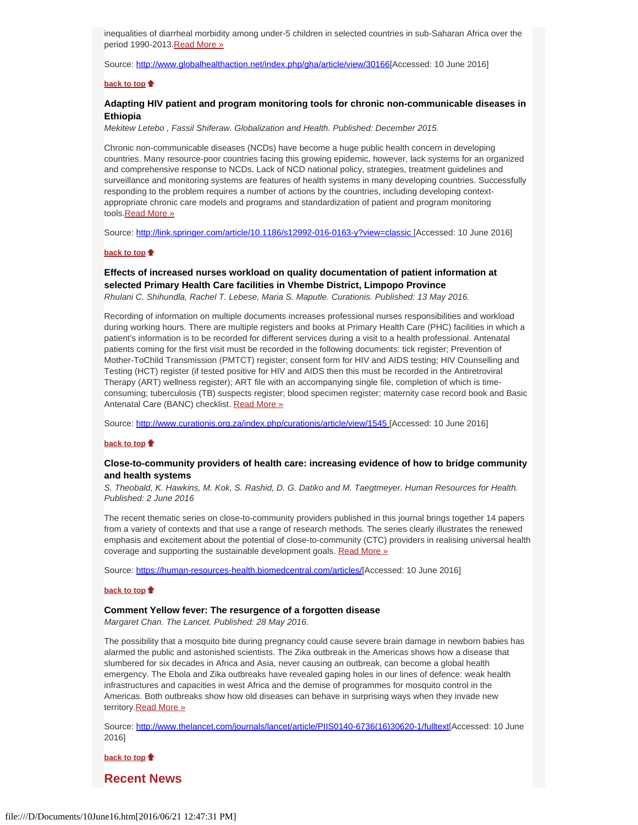inequalities of diarrheal morbidity among under-5 children in selected countries in sub-Saharan Africa over the period 1990-2013. [Read More »](http://www.globalhealthaction.net/index.php/gha/article/view/30166)

Source:<http://www.globalhealthaction.net/index.php/gha/article/view/30166>[Accessed: 10 June 2016]

#### **[back to top](#page-0-4)**

## **Adapting HIV patient and program monitoring tools for chronic non-communicable diseases in Ethiopia**

*Mekitew Letebo , Fassil Shiferaw. Globalization and Health. Published: December 2015.*

Chronic non-communicable diseases (NCDs) have become a huge public health concern in developing countries. Many resource-poor countries facing this growing epidemic, however, lack systems for an organized and comprehensive response to NCDs. Lack of NCD national policy, strategies, treatment guidelines and surveillance and monitoring systems are features of health systems in many developing countries. Successfully responding to the problem requires a number of actions by the countries, including developing contextappropriate chronic care models and programs and standardization of patient and program monitoring tools.[Read More »](http://link.springer.com/article/10.1186/s12992-016-0163-y?view=classic)

Source:<http://link.springer.com/article/10.1186/s12992-016-0163-y?view=classic>[Accessed: 10 June 2016]

#### **[back to top](#page-0-4)**

# **Effects of increased nurses workload on quality documentation of patient information at selected Primary Health Care facilities in Vhembe District, Limpopo Province**

*Rhulani C. Shihundla, Rachel T. Lebese, Maria S. Maputle. Curationis. Published: 13 May 2016.*

Recording of information on multiple documents increases professional nurses responsibilities and workload during working hours. There are multiple registers and books at Primary Health Care (PHC) facilities in which a patient's information is to be recorded for different services during a visit to a health professional. Antenatal patients coming for the first visit must be recorded in the following documents: tick register; Prevention of Mother-ToChild Transmission (PMTCT) register; consent form for HIV and AIDS testing; HIV Counselling and Testing (HCT) register (if tested positive for HIV and AIDS then this must be recorded in the Antiretroviral Therapy (ART) wellness register); ART file with an accompanying single file, completion of which is timeconsuming; tuberculosis (TB) suspects register; blood specimen register; maternity case record book and Basic Antenatal Care (BANC) checklist. [Read More »](http://www.curationis.org.za/index.php/curationis/article/view/1545)

Source:<http://www.curationis.org.za/index.php/curationis/article/view/1545>[Accessed: 10 June 2016]

#### **[back to top](#page-0-4)**

# <span id="page-1-0"></span>**Close-to-community providers of health care: increasing evidence of how to bridge community and health systems**

*S. Theobald, K. Hawkins, M. Kok, S. Rashid, D. G. Datiko and M. Taegtmeyer. Human Resources for Health. Published: 2 June 2016*

The recent thematic series on close-to-community providers published in this journal brings together 14 papers from a variety of contexts and that use a range of research methods. The series clearly illustrates the renewed emphasis and excitement about the potential of close-to-community (CTC) providers in realising universal health coverage and supporting the sustainable development goals. [Read More »](https://human-resources-health.biomedcentral.com/articles/10.1186/s12960-016-0132-9)

Source: [https://human-resources-health.biomedcentral.com/articles/](https://human-resources-health.biomedcentral.com/articles/10.1186/s12960-016-0132-9)[Accessed: 10 June 2016]

#### **[back to top](#page-0-4)**

#### <span id="page-1-1"></span>**Comment Yellow fever: The resurgence of a forgotten disease**

*Margaret Chan. The Lancet. Published: 28 May 2016.*

The possibility that a mosquito bite during pregnancy could cause severe brain damage in newborn babies has alarmed the public and astonished scientists. The Zika outbreak in the Americas shows how a disease that slumbered for six decades in Africa and Asia, never causing an outbreak, can become a global health emergency. The Ebola and Zika outbreaks have revealed gaping holes in our lines of defence: weak health infrastructures and capacities in west Africa and the demise of programmes for mosquito control in the Americas. Both outbreaks show how old diseases can behave in surprising ways when they invade new territory[.Read More »](http://www.thelancet.com/journals/lancet/article/PIIS0140-6736(16)30620-1/fulltext)

Source: [http://www.thelancet.com/journals/lancet/article/PIIS0140-6736\(16\)30620-1/fulltext](http://www.thelancet.com/journals/lancet/article/PIIS0140-6736(16)30620-1/fulltext)[Accessed: 10 June 2016]

**[back to top](#page-0-4)**

# <span id="page-1-2"></span>**Recent News**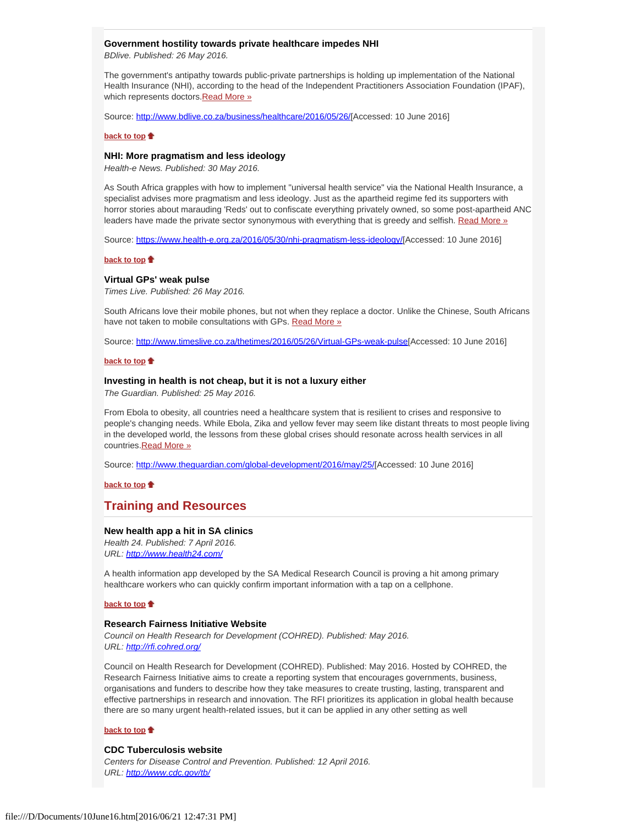#### <span id="page-2-0"></span>**Government hostility towards private healthcare impedes NHI**

*BDlive. Published: 26 May 2016.*

The government's antipathy towards public-private partnerships is holding up implementation of the National Health Insurance (NHI), according to the head of the Independent Practitioners Association Foundation (IPAF), which represents doctors. [Read More »](http://www.hst.org.za/news/government-hostility-towards-private-healthcare-impedes-nhi)

Source: [http://www.bdlive.co.za/business/healthcare/2016/05/26/](http://www.bdlive.co.za/business/healthcare/2016/05/26/government-hostility-towards-private-healthcare-impedes-nhi)[Accessed: 10 June 2016]

#### **[back to top](#page-0-4)**

#### <span id="page-2-1"></span>**NHI: More pragmatism and less ideology**

*Health-e News. Published: 30 May 2016.*

As South Africa grapples with how to implement "universal health service" via the National Health Insurance, a specialist advises more pragmatism and less ideology. Just as the apartheid regime fed its supporters with horror stories about marauding 'Reds' out to confiscate everything privately owned, so some post-apartheid ANC leaders have made the private sector synonymous with everything that is greedy and selfish. [Read More »](http://www.hst.org.za/news/nhi-more-pragmatism-and-less-ideology)

Source:<https://www.health-e.org.za/2016/05/30/nhi-pragmatism-less-ideology/>[Accessed: 10 June 2016]

#### **[back to top](#page-0-4)**

#### <span id="page-2-2"></span>**Virtual GPs' weak pulse**

*Times Live. Published: 26 May 2016.*

South Africans love their mobile phones, but not when they replace a doctor. Unlike the Chinese, South Africans have not taken to mobile consultations with GPs. [Read More »](http://www.hst.org.za/news/virtual-gps-weak-pulse)

Source:<http://www.timeslive.co.za/thetimes/2016/05/26/Virtual-GPs-weak-pulse>[Accessed: 10 June 2016]

# **[back to top](#page-0-4)**

# <span id="page-2-3"></span>**Investing in health is not cheap, but it is not a luxury either**

*The Guardian. Published: 25 May 2016.*

From Ebola to obesity, all countries need a healthcare system that is resilient to crises and responsive to people's changing needs. While Ebola, Zika and yellow fever may seem like distant threats to most people living in the developed world, the lessons from these global crises should resonate across health services in all countries[.Read More »](http://www.hst.org.za/news/investing-health-not-cheap-it-not-luxury-either)

Source: [http://www.theguardian.com/global-development/2016/may/25/](http://www.theguardian.com/global-development/2016/may/25/investing-in-health-is-not-cheap-ebola-obesity-healthcare-system)[Accessed: 10 June 2016]

**[back to top](#page-0-4)**

# **Training and Resources**

#### **New health app a hit in SA clinics**

*Health 24. Published: 7 April 2016. URL: [http://www.health24.com/](http://www.health24.com/Lifestyle/Health-tech/News/new-health-app-a-hit-in-sa-clinics-20160406?isapp=true)*

A health information app developed by the SA Medical Research Council is proving a hit among primary healthcare workers who can quickly confirm important information with a tap on a cellphone.

#### **[back to top](#page-0-4)**

#### **Research Fairness Initiative Website**

*Council on Health Research for Development (COHRED). Published: May 2016. URL:<http://rfi.cohred.org/>*

Council on Health Research for Development (COHRED). Published: May 2016. Hosted by COHRED, the Research Fairness Initiative aims to create a reporting system that encourages governments, business, organisations and funders to describe how they take measures to create trusting, lasting, transparent and effective partnerships in research and innovation. The RFI prioritizes its application in global health because there are so many urgent health-related issues, but it can be applied in any other setting as well

#### **[back to top](#page-0-4)**

#### <span id="page-2-4"></span>**CDC Tuberculosis website**

*Centers for Disease Control and Prevention. Published: 12 April 2016. URL:<http://www.cdc.gov/tb/>*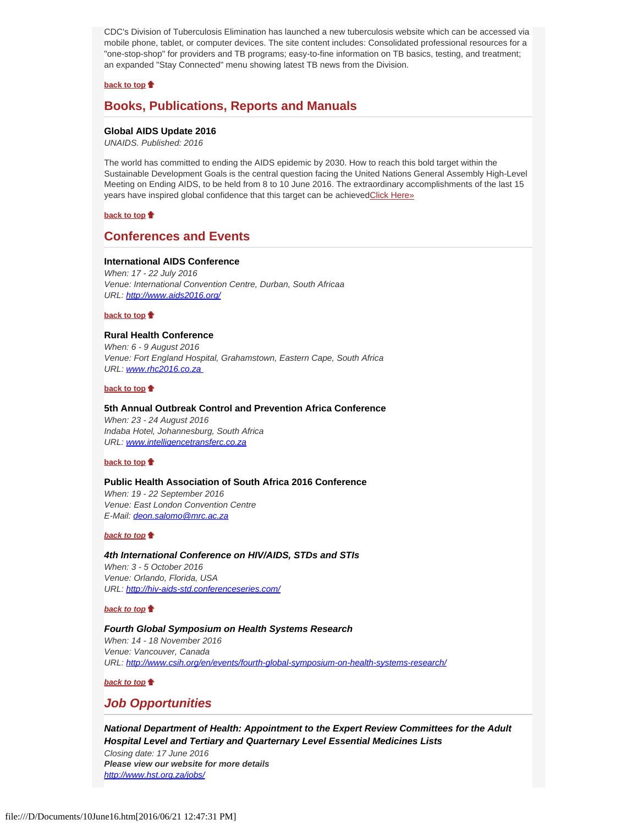CDC's Division of Tuberculosis Elimination has launched a new tuberculosis website which can be accessed via mobile phone, tablet, or computer devices. The site content includes: Consolidated professional resources for a "one-stop-shop" for providers and TB programs; easy-to-fine information on TB basics, testing, and treatment; an expanded "Stay Connected" menu showing latest TB news from the Division.

#### **[back to top](#page-0-4)**

# <span id="page-3-1"></span>**Books, Publications, Reports and Manuals**

## <span id="page-3-2"></span>**Global AIDS Update 2016**

*UNAIDS. Published: 2016*

The world has committed to ending the AIDS epidemic by 2030. How to reach this bold target within the Sustainable Development Goals is the central question facing the United Nations General Assembly High-Level Meeting on Ending AIDS, to be held from 8 to 10 June 2016. The extraordinary accomplishments of the last 15 years have inspired global confidence that this target can be achieved Click Here»

## **[back to top](#page-0-4)**

# <span id="page-3-3"></span>**Conferences and Events**

#### <span id="page-3-4"></span>**International AIDS Conference**

*When: 17 - 22 July 2016 Venue: International Convention Centre, Durban, South Africaa URL:<http://www.aids2016.org/>*

#### **[back to top](#page-0-4)**

#### **Rural Health Conference**

*When: 6 - 9 August 2016 Venue: Fort England Hospital, Grahamstown, Eastern Cape, South Africa URL: [www.rhc2016.co.za](file:///D/Documents/www.rhc2016.co.za)* 

## **[back to top](#page-0-4)**

# <span id="page-3-5"></span>**5th Annual Outbreak Control and Prevention Africa Conference**

*When: 23 - 24 August 2016 Indaba Hotel, Johannesburg, South Africa URL: [www.intelligencetransferc.co.za](http://www.intelligencetransferc.co.za/)*

#### **[back to top](#page-0-4)**

#### <span id="page-3-6"></span>**Public Health Association of South Africa 2016 Conference**

*When: 19 - 22 September 2016 Venue: East London Convention Centre E-Mail: [deon.salomo@mrc.ac.za](file:///D/Documents/deon.salomo@mrc.ac.za)*

#### *[back to top](#page-0-4)*

*4th International Conference on HIV/AIDS, STDs and STIs When: 3 - 5 October 2016 Venue: Orlando, Florida, USA URL:<http://hiv-aids-std.conferenceseries.com/>*

#### *[back to top](#page-0-4)*

## <span id="page-3-7"></span>*Fourth Global Symposium on Health Systems Research When: 14 - 18 November 2016 Venue: Vancouver, Canada URL:<http://www.csih.org/en/events/fourth-global-symposium-on-health-systems-research/>*

#### *[back to top](#page-0-4)*

# *Job Opportunities*

<span id="page-3-0"></span>*National Department of Health: Appointment to the Expert Review Committees for the Adult Hospital Level and Tertiary and Quarternary Level Essential Medicines Lists Closing date: 17 June 2016 Please view our website for more details [http://www.hst.org.za/jobs/](http://www.hst.org.za/jobs/appointment-expert-review-committees-adult-hospital-level-and-tertiary-and-quaternary-level-ess)*